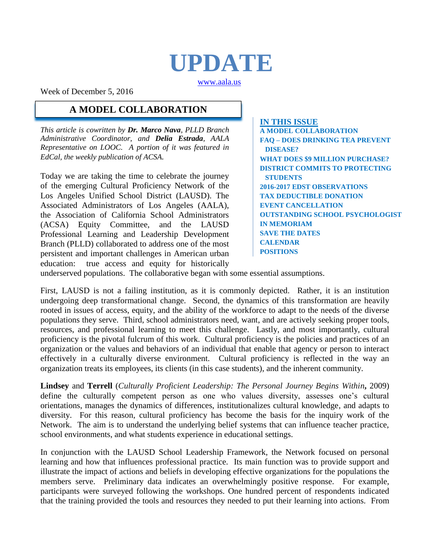# **UPDATE**

[www.aala.us](http://www.aala.us/)

Week of December 5, 2016

### **A MODEL COLLABORATION**

*This article is cowritten by Dr. Marco Nava, PLLD Branch Administrative Coordinator, and Delia Estrada, AALA Representative on LOOC. A portion of it was featured in EdCal, the weekly publication of ACSA.*

Today we are taking the time to celebrate the journey of the emerging Cultural Proficiency Network of the Los Angeles Unified School District (LAUSD). The Associated Administrators of Los Angeles (AALA), the Association of California School Administrators (ACSA) Equity Committee, and the LAUSD Professional Learning and Leadership Development Branch (PLLD) collaborated to address one of the most persistent and important challenges in American urban education: true access and equity for historically

**IN THIS ISSUE A MODEL COLLABORATION FAQ – DOES DRINKING TEA PREVENT DISEASE? WHAT DOES \$9 MILLION PURCHASE? DISTRICT COMMITS TO PROTECTING STUDENTS 2016-2017 EDST OBSERVATIONS TAX DEDUCTIBLE DONATION EVENT CANCELLATION OUTSTANDING SCHOOL PSYCHOLOGIST IN MEMORIAM SAVE THE DATES CALENDAR POSITIONS**

underserved populations. The collaborative began with some essential assumptions.

First, LAUSD is not a failing institution, as it is commonly depicted. Rather, it is an institution undergoing deep transformational change. Second, the dynamics of this transformation are heavily rooted in issues of access, equity, and the ability of the workforce to adapt to the needs of the diverse populations they serve. Third, school administrators need, want, and are actively seeking proper tools, resources, and professional learning to meet this challenge. Lastly, and most importantly, cultural proficiency is the pivotal fulcrum of this work. Cultural proficiency is the policies and practices of an organization or the values and behaviors of an individual that enable that agency or person to interact effectively in a culturally diverse environment. Cultural proficiency is reflected in the way an organization treats its employees, its clients (in this case students), and the inherent community.

**Lindsey** and **Terrell** (*Culturally Proficient Leadership: The Personal Journey Begins Within***,** 2009) define the culturally competent person as one who values diversity, assesses one's cultural orientations, manages the dynamics of differences, institutionalizes cultural knowledge, and adapts to diversity. For this reason, cultural proficiency has become the basis for the inquiry work of the Network. The aim is to understand the underlying belief systems that can influence teacher practice, school environments, and what students experience in educational settings.

In conjunction with the LAUSD School Leadership Framework, the Network focused on personal learning and how that influences professional practice. Its main function was to provide support and illustrate the impact of actions and beliefs in developing effective organizations for the populations the members serve. Preliminary data indicates an overwhelmingly positive response. For example, participants were surveyed following the workshops. One hundred percent of respondents indicated that the training provided the tools and resources they needed to put their learning into actions. From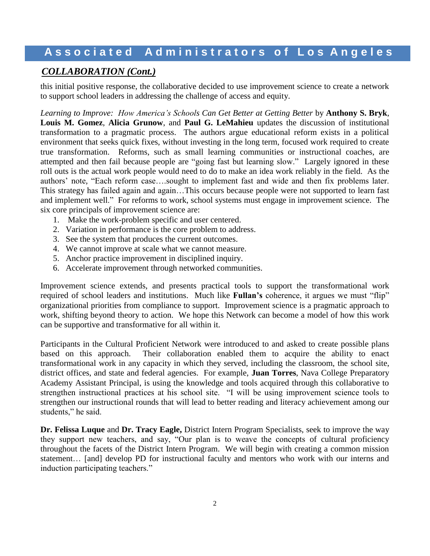### *COLLABORATION (Cont.)*

this initial positive response, the collaborative decided to use improvement science to create a network to support school leaders in addressing the challenge of access and equity.

*Learning to Improve: How America's Schools Can Get Better at Getting Better* by **Anthony S. Bryk**, **Louis M. Gomez**, **Alicia Grunow**, and **Paul G. LeMahieu** updates the discussion of institutional transformation to a pragmatic process. The authors argue educational reform exists in a political environment that seeks quick fixes, without investing in the long term, focused work required to create true transformation. Reforms, such as small learning communities or instructional coaches, are attempted and then fail because people are "going fast but learning slow." Largely ignored in these roll outs is the actual work people would need to do to make an idea work reliably in the field. As the authors' note, "Each reform case….sought to implement fast and wide and then fix problems later. This strategy has failed again and again…This occurs because people were not supported to learn fast and implement well." For reforms to work, school systems must engage in improvement science. The six core principals of improvement science are:

- 1. Make the work-problem specific and user centered.
- 2. Variation in performance is the core problem to address.
- 3. See the system that produces the current outcomes.
- 4. We cannot improve at scale what we cannot measure.
- 5. Anchor practice improvement in disciplined inquiry.
- 6. Accelerate improvement through networked communities.

Improvement science extends, and presents practical tools to support the transformational work required of school leaders and institutions. Much like **Fullan's** coherence, it argues we must "flip" organizational priorities from compliance to support. Improvement science is a pragmatic approach to work, shifting beyond theory to action. We hope this Network can become a model of how this work can be supportive and transformative for all within it.

Participants in the Cultural Proficient Network were introduced to and asked to create possible plans based on this approach. Their collaboration enabled them to acquire the ability to enact transformational work in any capacity in which they served, including the classroom, the school site, district offices, and state and federal agencies. For example, **Juan Torres**, Nava College Preparatory Academy Assistant Principal, is using the knowledge and tools acquired through this collaborative to strengthen instructional practices at his school site. "I will be using improvement science tools to strengthen our instructional rounds that will lead to better reading and literacy achievement among our students," he said.

**Dr. Felissa Luque** and **Dr. Tracy Eagle,** District Intern Program Specialists, seek to improve the way they support new teachers, and say, "Our plan is to weave the concepts of cultural proficiency throughout the facets of the District Intern Program. We will begin with creating a common mission statement… [and] develop PD for instructional faculty and mentors who work with our interns and induction participating teachers."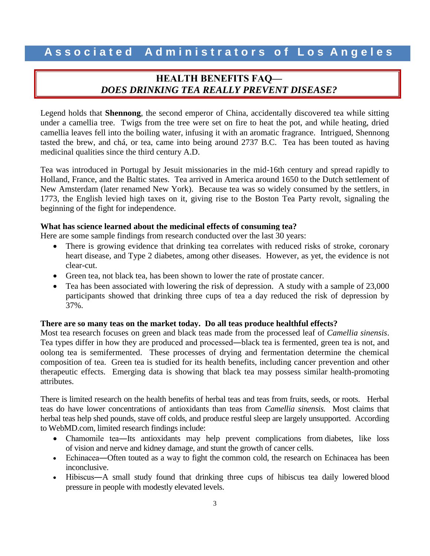### **HEALTH BENEFITS FAQ—** *DOES DRINKING TEA REALLY PREVENT DISEASE?*

Legend holds that **Shennong**, the second emperor of China, accidentally discovered tea while sitting under a camellia tree. Twigs from the tree were set on fire to heat the pot, and while heating, dried camellia leaves fell into the boiling water, infusing it with an aromatic fragrance. Intrigued, Shennong tasted the brew, and chá, or tea, came into being around 2737 B.C. Tea has been touted as having medicinal qualities since the third century A.D.

Tea was introduced in Portugal by Jesuit missionaries in the mid-16th century and spread rapidly to Holland, France, and the Baltic states. Tea arrived in America around 1650 to the Dutch settlement of New Amsterdam (later renamed New York). Because tea was so widely consumed by the settlers, in 1773, the English levied high taxes on it, giving rise to the Boston Tea Party revolt, signaling the beginning of the fight for independence.

#### **What has science learned about the medicinal effects of consuming tea?**

Here are some sample findings from research conducted over the last 30 years:

- There is growing evidence that drinking tea correlates with reduced risks of stroke, coronary heart disease, and Type 2 diabetes, among other diseases. However, as yet, the evidence is not clear-cut.
- Green tea, not black tea, has been shown to lower the rate of prostate cancer.
- Tea has been associated with lowering the risk of depression. A study with a sample of 23,000 participants showed that drinking three cups of tea a day reduced the risk of depression by 37%.

#### **There are so many teas on the market today. Do all teas produce healthful effects?**

Most tea research focuses on green and black teas made from the processed leaf of *Camellia sinensis*. Tea types differ in how they are produced and processed―black tea is fermented, green tea is not, and oolong tea is semifermented. These processes of drying and fermentation determine the chemical composition of tea. Green tea is studied for its health benefits, including cancer prevention and other therapeutic effects. Emerging data is showing that black tea may possess similar health-promoting attributes.

There is limited research on the health benefits of herbal teas and teas from fruits, seeds, or roots. Herbal teas do have lower concentrations of antioxidants than teas from *Camellia sinensis.* Most claims that herbal teas help shed pounds, stave off colds, and produce restful [sleep](http://www.webmd.com/sleep-disorders/default.htm) are largely unsupported. According to WebMD.com, limited research findings include:

- Chamomile tea—Its antioxidants may help prevent complications from [diabetes,](http://www.webmd.com/diabetes/diabetes-health-check/default.htm) like loss of [vision](http://www.webmd.com/eye-health/default.htm) and nerve and [kidney](http://www.webmd.com/urinary-incontinence-oab/picture-of-the-kidneys) damage, and stunt the growth of cancer cells.
- Echinacea—Often touted as a way to fight the [common cold,](http://www.webmd.com/cold-and-flu/default.htm) the research on Echinacea has been inconclusive.
- Hibiscus—A small study found that drinking three cups of hibiscus tea daily lowered blood [pressure](http://www.webmd.com/hypertension-high-blood-pressure/guide/diastolic-and-systolic-blood-pressure-know-your-numbers) in people with modestly elevated levels.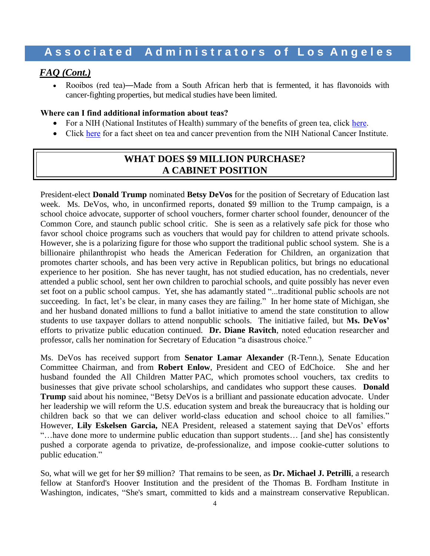#### *FAQ (Cont.)*

 Rooibos (red tea)―Made from a South African herb that is fermented, it has flavonoids with cancer-fighting properties, but medical studies have been limited.

#### **Where can I find additional information about teas?**

- For a NIH (National Institutes of Health) summary of the benefits of green tea, click [here.](https://nccih.nih.gov/health/greentea)
- Click [here](https://www.cancer.gov/about-cancer/causes-prevention/risk/diet/tea-fact-sheet) for a fact sheet on tea and cancer prevention from the NIH National Cancer Institute.

### **WHAT DOES \$9 MILLION PURCHASE? A CABINET POSITION**

President-elect **Donald Trump** nominated **Betsy DeVos** for the position of Secretary of Education last week. Ms. DeVos, who, in unconfirmed reports, donated \$9 million to the Trump campaign, is a school choice advocate, supporter of school vouchers, former charter school founder, denouncer of the Common Core, and staunch public school critic. She is seen as a relatively safe pick for those who favor school choice programs such as vouchers that would pay for children to attend private schools. However, she is a polarizing figure for those who support the traditional public school system. She is a billionaire philanthropist who heads the American Federation for Children, an organization that promotes charter schools, and has been very active in Republican politics, but brings no educational experience to her position. She has never taught, has not studied education, has no credentials, never attended a public school, sent her own children to parochial schools, and quite possibly has never even set foot on a public school campus. Yet, she has adamantly stated "...traditional public schools are not succeeding. In fact, let's be clear, in many cases they are failing." In her home state of Michigan, she and her husband donated millions to fund a ballot initiative to amend the state constitution to allow students to use taxpayer dollars to attend nonpublic schools. The initiative failed, but **Ms. DeVos'** efforts to privatize public education continued. **Dr. Diane Ravitch**, noted education researcher and professor, calls her nomination for Secretary of Education "a disastrous choice."

Ms. DeVos has received support from **Senator Lamar Alexander** (R-Tenn.), Senate Education Committee Chairman, and from **Robert Enlow**, President and CEO of EdChoice. She and her husband founded the All Children Matter PAC, which promotes school vouchers, tax credits to businesses that give private school scholarships, and candidates who support these causes. **Donald Trump** said about his nominee, "Betsy DeVos is a brilliant and passionate education advocate. Under her leadership we will reform the U.S. education system and break the bureaucracy that is holding our children back so that we can deliver world-class education and school choice to all families." However, **Lily Eskelsen Garcia,** NEA President, released a statement saying that DeVos' efforts "…have done more to undermine public education than support students… [and she] has consistently pushed a corporate agenda to privatize, de-professionalize, and impose cookie-cutter solutions to public education."

So, what will we get for her \$9 million? That remains to be seen, as **Dr. Michael J. Petrilli**, a research fellow at Stanford's Hoover Institution and the president of the Thomas B. Fordham Institute in Washington, indicates, "She's smart, committed to kids and a mainstream conservative Republican.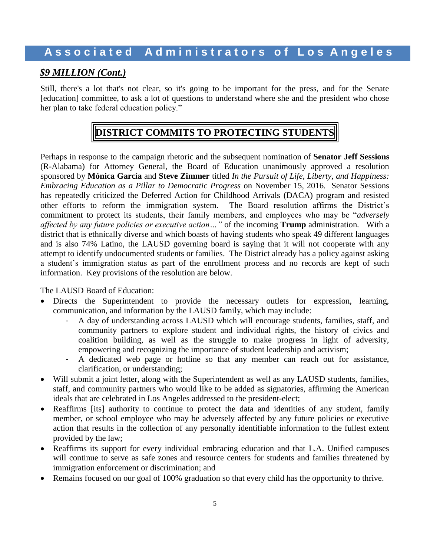### *\$9 MILLION (Cont.)*

Still, there's a lot that's not clear, so it's going to be important for the press, and for the Senate [education] committee, to ask a lot of questions to understand where she and the president who chose her plan to take federal education policy."

### **DISTRICT COMMITS TO PROTECTING STUDENTS**

Perhaps in response to the campaign rhetoric and the subsequent nomination of **Senator Jeff Sessions** (R-Alabama) for Attorney General, the Board of Education unanimously approved a resolution sponsored by **Mónica García** and **Steve Zimmer** titled *In the Pursuit of Life, Liberty, and Happiness: Embracing Education as a Pillar to Democratic Progress* on November 15, 2016*.* Senator Sessions has repeatedly criticized the Deferred Action for Childhood Arrivals (DACA) program and resisted other efforts to reform the immigration system. The Board resolution affirms the District's commitment to protect its students, their family members, and employees who may be "*adversely affected by any future policies or executive action…"* of the incoming **Trump** administration*.* With a district that is ethnically diverse and which boasts of having students who speak 49 different languages and is also 74% Latino, the LAUSD governing board is saying that it will not cooperate with any attempt to identify undocumented students or families. The District already has a policy against asking a student's immigration status as part of the enrollment process and no records are kept of such information. Key provisions of the resolution are below.

The LAUSD Board of Education:

- Directs the Superintendent to provide the necessary outlets for expression, learning, communication, and information by the LAUSD family, which may include:
	- A day of understanding across LAUSD which will encourage students, families, staff, and community partners to explore student and individual rights, the history of civics and coalition building, as well as the struggle to make progress in light of adversity, empowering and recognizing the importance of student leadership and activism;
	- A dedicated web page or hotline so that any member can reach out for assistance, clarification, or understanding;
- Will submit a joint letter, along with the Superintendent as well as any LAUSD students, families, staff, and community partners who would like to be added as signatories, affirming the American ideals that are celebrated in Los Angeles addressed to the president-elect;
- Reaffirms [its] authority to continue to protect the data and identities of any student, family member, or school employee who may be adversely affected by any future policies or executive action that results in the collection of any personally identifiable information to the fullest extent provided by the law;
- Reaffirms its support for every individual embracing education and that L.A. Unified campuses will continue to serve as safe zones and resource centers for students and families threatened by immigration enforcement or discrimination; and
- Remains focused on our goal of 100% graduation so that every child has the opportunity to thrive.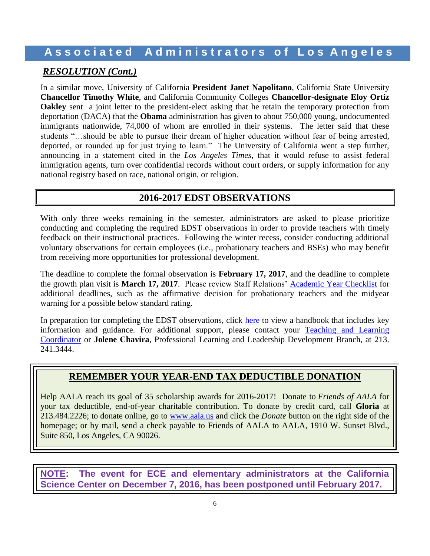### *RESOLUTION (Cont.)*

In a similar move, University of California **President Janet Napolitano**, California State University **Chancellor Timothy White**, and California Community Colleges **Chancellor-designate Eloy Ortiz Oakley** sent a joint letter to the president-elect asking that he retain the temporary protection from deportation (DACA) that the **Obama** administration has given to about 750,000 young, undocumented immigrants nationwide, 74,000 of whom are enrolled in their systems. The letter said that these students "…should be able to pursue their dream of higher education without fear of being arrested, deported, or rounded up for just trying to learn." The University of California went a step further, announcing in a statement cited in the *Los Angeles Times*, that it would refuse to assist federal immigration agents, turn over confidential records without court orders, or supply information for any national registry based on race, national origin, or religion.

### **2016-2017 EDST OBSERVATIONS**

With only three weeks remaining in the semester, administrators are asked to please prioritize conducting and completing the required EDST observations in order to provide teachers with timely feedback on their instructional practices. Following the winter recess, consider conducting additional voluntary observations for certain employees (i.e., probationary teachers and BSEs) who may benefit from receiving more opportunities for professional development.

The deadline to complete the formal observation is **February 17, 2017**, and the deadline to complete the growth plan visit is **March 17, 2017**. Please review Staff Relations' [Academic Year Checklist](http://achieve.lausd.net/Page/7775) for additional deadlines, such as the affirmative decision for probationary teachers and the midyear warning for a possible below standard rating.

In preparation for completing the EDST observations, click [here](http://achieve.lausd.net/cms/lib08/CA01000043/Centricity/domain/629/martha%20links/EDST%20Observations%20Handbook%2011.2016.pdf) to view a handbook that includes key information and guidance. For additional support, please contact your [Teaching and Learning](http://achieve.lausd.net/cms/lib08/CA01000043/Centricity/Domain/433/TLC%20Contact%20List.pdf)  [Coordinator](http://achieve.lausd.net/cms/lib08/CA01000043/Centricity/Domain/433/TLC%20Contact%20List.pdf) or **Jolene Chavira**, Professional Learning and Leadership Development Branch, at 213. 241.3444.

### **REMEMBER YOUR YEAR-END TAX DEDUCTIBLE DONATION**

Help AALA reach its goal of 35 scholarship awards for 2016-2017! Donate to *Friends of AALA* for your tax deductible, end-of-year charitable contribution. To donate by credit card, call **Gloria** at 213.484.2226; to donate online, go to [www.aala.us](http://www.aala.us/) and click the *Donate* button on the right side of the homepage; or by mail, send a check payable to Friends of AALA to AALA, 1910 W. Sunset Blvd., Suite 850, Los Angeles, CA 90026.

**NOTE: The event for ECE and elementary administrators at the California Science Center on December 7, 2016, has been postponed until February 2017.**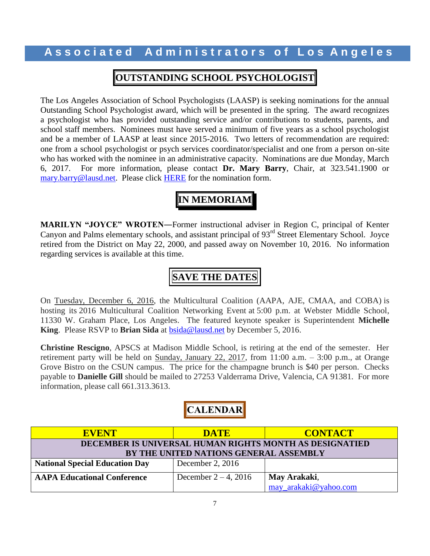### **OUTSTANDING SCHOOL PSYCHOLOGIST**

The Los Angeles Association of School Psychologists (LAASP) is seeking nominations for the annual Outstanding School Psychologist award, which will be presented in the spring. The award recognizes a psychologist who has provided outstanding service and/or contributions to students, parents, and school staff members. Nominees must have served a minimum of five years as a school psychologist and be a member of LAASP at least since 2015-2016. Two letters of recommendation are required: one from a school psychologist or psych services coordinator/specialist and one from a person on-site who has worked with the nominee in an administrative capacity. Nominations are due Monday, March 6, 2017. For more information, please contact **Dr. Mary Barry**, Chair, at 323.541.1900 or [mary.barry@lausd.net.](mailto:mary.barry@lausd.net) Please click [HERE](http://www.aala.us/docs/2016/11/School-Psych.pdf) for the nomination form.

## **IN MEMORIAM**

**MARILYN "JOYCE" WROTEN―**Former instructional adviser in Region C, principal of Kenter Canyon and Palms elementary schools, and assistant principal of 93<sup>rd</sup> Street Elementary School. Joyce retired from the District on May 22, 2000, and passed away on November 10, 2016. No information regarding services is available at this time.

### **SAVE THE DATES**

On Tuesday, December 6, 2016, the Multicultural Coalition (AAPA, AJE, CMAA, and COBA) is hosting its 2016 Multicultural Coalition Networking Event at 5:00 p.m. at Webster Middle School, 11330 W. Graham Place, Los Angeles. The featured keynote speaker is Superintendent **Michelle King**. Please RSVP to **Brian Sida** at [bsida@lausd.net](mailto:bsida@lausd.net) by December 5, 2016.

**Christine Rescigno**, APSCS at Madison Middle School, is retiring at the end of the semester. Her retirement party will be held on Sunday, January 22, 2017, from 11:00 a.m. – 3:00 p.m., at Orange Grove Bistro on the CSUN campus. The price for the champagne brunch is \$40 per person. Checks payable to **Danielle Gill** should be mailed to 27253 Valderrama Drive, Valencia, CA 91381. For more information, please call 661.313.3613.

### **CALENDAR**

| <b>EVENT</b>                                            | <b>DATE</b>             | <b>CONTACT</b>        |  |  |  |
|---------------------------------------------------------|-------------------------|-----------------------|--|--|--|
| DECEMBER IS UNIVERSAL HUMAN RIGHTS MONTH AS DESIGNATIED |                         |                       |  |  |  |
| BY THE UNITED NATIONS GENERAL ASSEMBLY                  |                         |                       |  |  |  |
| <b>National Special Education Day</b>                   | December 2, $2016$      |                       |  |  |  |
| <b>AAPA Educational Conference</b>                      | December $2 - 4$ , 2016 | May Arakaki,          |  |  |  |
|                                                         |                         | may arakaki@yahoo.com |  |  |  |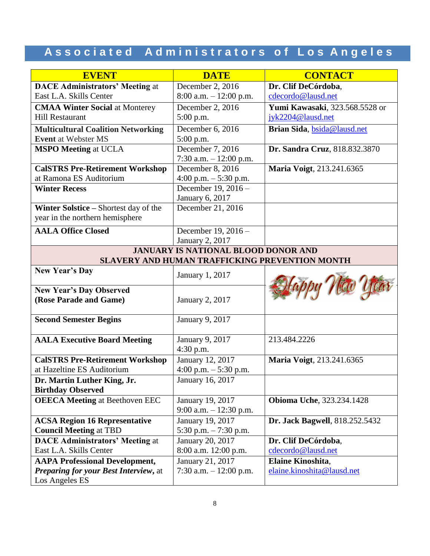| <b>EVENT</b>                                             | <b>DATE</b>                                    | <b>CONTACT</b>                    |  |
|----------------------------------------------------------|------------------------------------------------|-----------------------------------|--|
| <b>DACE Administrators' Meeting at</b>                   | December 2, 2016                               | Dr. Clif DeCórdoba,               |  |
| East L.A. Skills Center                                  | $8:00$ a.m. $-12:00$ p.m.                      | cdecordo@lausd.net                |  |
| <b>CMAA Winter Social at Monterey</b>                    | December 2, 2016                               | Yumi Kawasaki, 323.568.5528 or    |  |
| <b>Hill Restaurant</b>                                   | 5:00 p.m.                                      | jyk2204@lausd.net                 |  |
| <b>Multicultural Coalition Networking</b>                | December 6, 2016                               | Brian Sida, bsida@lausd.net       |  |
| <b>Event</b> at Webster MS                               | 5:00 p.m.                                      |                                   |  |
| <b>MSPO Meeting at UCLA</b>                              | December 7, 2016                               | Dr. Sandra Cruz, 818.832.3870     |  |
|                                                          | 7:30 a.m. $-12:00$ p.m.                        |                                   |  |
| <b>CalSTRS Pre-Retirement Workshop</b>                   | December 8, 2016                               | Maria Voigt, 213.241.6365         |  |
| at Ramona ES Auditorium                                  | 4:00 p.m. $-$ 5:30 p.m.                        |                                   |  |
| <b>Winter Recess</b>                                     | December 19, 2016 -                            |                                   |  |
|                                                          | January 6, 2017                                |                                   |  |
| Winter Solstice – Shortest day of the                    | December 21, 2016                              |                                   |  |
| year in the northern hemisphere                          |                                                |                                   |  |
| <b>AALA Office Closed</b>                                | December 19, 2016 -                            |                                   |  |
|                                                          | January 2, 2017                                |                                   |  |
|                                                          | <b>JANUARY IS NATIONAL BLOOD DONOR AND</b>     |                                   |  |
|                                                          | SLAVERY AND HUMAN TRAFFICKING PREVENTION MONTH |                                   |  |
| <b>New Year's Day</b>                                    | January 1, 2017                                |                                   |  |
| <b>New Year's Day Observed</b><br>(Rose Parade and Game) | January 2, 2017                                | by Hew Year                       |  |
| <b>Second Semester Begins</b>                            | January 9, 2017                                |                                   |  |
| <b>AALA Executive Board Meeting</b>                      | January 9, 2017<br>4:30 p.m.                   | 213.484.2226                      |  |
| <b>CalSTRS Pre-Retirement Workshop</b>                   | January 12, 2017                               | Maria Voigt, 213.241.6365         |  |
| at Hazeltine ES Auditorium                               | 4:00 p.m. $-$ 5:30 p.m.                        |                                   |  |
| Dr. Martin Luther King, Jr.                              | January 16, 2017                               |                                   |  |
| <b>Birthday Observed</b>                                 |                                                |                                   |  |
| <b>OEECA Meeting at Beethoven EEC</b>                    | January 19, 2017<br>9:00 a.m. $-12:30$ p.m.    | <b>Obioma Uche</b> , 323.234.1428 |  |
| <b>ACSA Region 16 Representative</b>                     | January 19, 2017                               | Dr. Jack Bagwell, 818.252.5432    |  |
| <b>Council Meeting at TBD</b>                            | 5:30 p.m. $-7:30$ p.m.                         |                                   |  |
| <b>DACE Administrators' Meeting at</b>                   | January 20, 2017                               | Dr. Clif DeCórdoba,               |  |
| East L.A. Skills Center                                  | 8:00 a.m. 12:00 p.m.                           | cdecordo@lausd.net                |  |
| <b>AAPA Professional Development,</b>                    | January 21, 2017                               | Elaine Kinoshita,                 |  |
| Preparing for your Best Interview, at                    | 7:30 a.m. $-12:00$ p.m.                        | elaine.kinoshita@lausd.net        |  |
| Los Angeles ES                                           |                                                |                                   |  |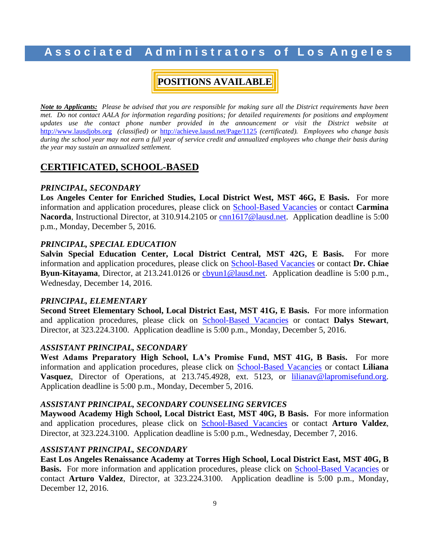### **A s s o c i a t e d A d m i n i s t r a t o r s o f L o s A n g e l e s**

### **POSITIONS AVAILABLE**

*Note to Applicants: Please be advised that you are responsible for making sure all the District requirements have been met.* Do not contact AALA for information regarding positions; for detailed requirements for positions and employment updates use the contact phone number provided in the announcement or visit the District website at [http://www.lausdjobs.org](http://www.lausdjobs.org/) *(classified) or* <http://achieve.lausd.net/Page/1125> *(certificated). Employees who change basis during the school year may not earn a full year of service credit and annualized employees who change their basis during the year may sustain an annualized settlement.*

#### **CERTIFICATED, SCHOOL-BASED**

#### *PRINCIPAL, SECONDARY*

**Los Angeles Center for Enriched Studies, Local District West, MST 46G, E Basis.** For more information and application procedures, please click on [School-Based](http://achieve.lausd.net/Page/3505) Vacancie[s](http://achieve.lausd.net/Page/3505) or contact **Carmina Nacorda**, Instructional Director, at 310.914.2105 or [cnn1617@lausd.net.](mailto:cnn1617@lausd.net) Application deadline is 5:00 p.m., Monday, December 5, 2016.

#### *PRINCIPAL, SPECIAL EDUCATION*

**Salvin Special Education Center, Local District Central, MST 42G, E Basis.** For more information and application procedures, please click on [School-Based](http://achieve.lausd.net/Page/3505) Vacancie[s](http://achieve.lausd.net/Page/3505) or contact **Dr. Chiae Byun-Kitayama**, Director, at 213.241.0126 or [cbyun1@lausd.net.](mailto:cbyun1@lausd.net) Application deadline is 5:00 p.m., Wednesday, December 14, 2016.

#### *PRINCIPAL, ELEMENTARY*

**Second Street Elementary School, Local District East, MST 41G, E Basis.** For more information and application procedures, please click on [School-Based](http://achieve.lausd.net/Page/3505) Vacancie[s](http://achieve.lausd.net/Page/3505) or contact **Dalys Stewart**, Director, at 323.224.3100. Application deadline is 5:00 p.m., Monday, December 5, 2016.

#### *ASSISTANT PRINCIPAL, SECONDARY*

**West Adams Preparatory High School, LA's Promise Fund, MST 41G, B Basis.** For more information and application procedures, please click on [School-Based](http://achieve.lausd.net/Page/3505) Vacancie[s](http://achieve.lausd.net/Page/3505) or contact **Liliana Vasquez**, Director of Operations, at 213.745.4928, ext. 5123, or [lilianav@lapromisefund.org.](mailto:lilianav@lapromisefund.org) Application deadline is 5:00 p.m., Monday, December 5, 2016.

#### *ASSISTANT PRINCIPAL, SECONDARY COUNSELING SERVICES*

**Maywood Academy High School, Local District East, MST 40G, B Basis.** For more information and application procedures, please click on [School-Based](http://achieve.lausd.net/Page/3505) Vacancie[s](http://achieve.lausd.net/Page/3505) or contact **Arturo Valdez**, Director, at 323.224.3100. Application deadline is 5:00 p.m., Wednesday, December 7, 2016.

#### *ASSISTANT PRINCIPAL, SECONDARY*

**East Los Angeles Renaissance Academy at Torres High School, Local District East, MST 40G, B Ba[s](http://achieve.lausd.net/Page/3505)is.** For more information and application procedures, please click on [School-Based](http://achieve.lausd.net/Page/3505) Vacancies or contact **Arturo Valdez**, Director, at 323.224.3100. Application deadline is 5:00 p.m., Monday, December 12, 2016.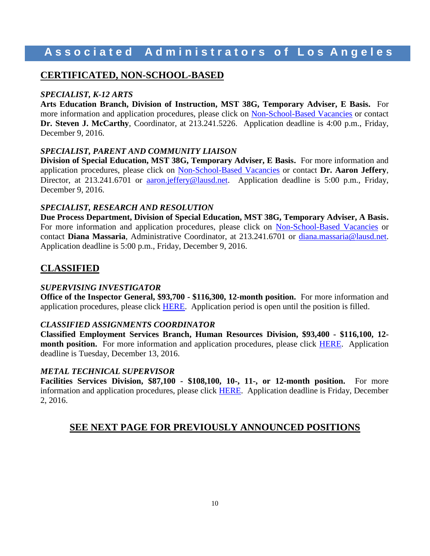### **CERTIFICATED, NON-SCHOOL-BASED**

#### *SPECIALIST, K-12 ARTS*

**Arts Education Branch, Division of Instruction, MST 38G, Temporary Adviser, E Basis.** For more information and application procedures, please click on [Non-School-Based](http://achieve.lausd.net/Page/3501) Vacancies or contact **Dr. Steven J. McCarthy**, Coordinator, at 213.241.5226. Application deadline is 4:00 p.m., Friday, December 9, 2016.

#### *SPECIALIST, PARENT AND COMMUNITY LIAISON*

**Division of Special Education, MST 38G, Temporary Adviser, E Basis.** For more information and application procedures, please click on [Non-School-Based](http://achieve.lausd.net/Page/3501) Vacancies or contact **Dr. Aaron Jeffery**, Director, at 213.241.6701 or [aaron.jeffery@lausd.net.](mailto:aaron.jeffery@lausd.net) Application deadline is 5:00 p.m., Friday, December 9, 2016.

#### *SPECIALIST, RESEARCH AND RESOLUTION*

**Due Process Department, Division of Special Education, MST 38G, Temporary Adviser, A Basis.**  For more information and application procedures, please click on [Non-School-Based](http://achieve.lausd.net/Page/3501) Vacancies or contact **Diana Massaria**, Administrative Coordinator, at 213.241.6701 or [diana.massaria@lausd.net.](mailto:diana.massaria@lausd.net) Application deadline is 5:00 p.m., Friday, December 9, 2016.

### **CLASSIFIED**

#### *SUPERVISING INVESTIGATOR*

**Office of the Inspector General, \$93,700 - \$116,300, 12-month position.** For more information and application procedures, please click [HERE.](https://btserec.lausd.net/sap/bc/webdynpro/sap/zerwd_a_refcode_srch_int?sap-client=910) Application period is open until the position is filled.

#### *CLASSIFIED ASSIGNMENTS COORDINATOR*

**Classified Employment Services Branch, Human Resources Division, \$93,400 - \$116,100, 12 month position.** For more information and application procedures, please click [HERE.](https://btserec.lausd.net/sap/bc/webdynpro/sap/zerwd_a_refcode_srch_int?sap-client=910) Application deadline is Tuesday, December 13, 2016.

#### *METAL TECHNICAL SUPERVISOR*

**Facilities Services Division, \$87,100 - \$108,100, 10-, 11-, or 12-month position.** For more information and application procedures, please click [HERE.](https://btserec.lausd.net/sap/bc/webdynpro/sap/zerwd_a_refcode_srch_int?sap-client=910) Application deadline is Friday, December 2, 2016.

### **SEE NEXT PAGE FOR PREVIOUSLY ANNOUNCED POSITIONS**